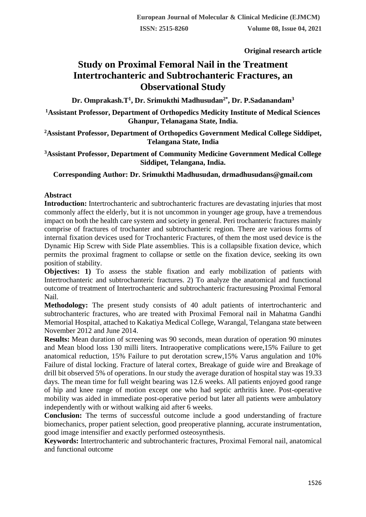**Original research article** 

# **Study on Proximal Femoral Nail in the Treatment Intertrochanteric and Subtrochanteric Fractures, an Observational Study**

**Dr. Omprakash.T<sup>1</sup> , Dr. Srimukthi Madhusudan2\*, Dr. P.Sadanandam<sup>3</sup>**

**<sup>1</sup>Assistant Professor, Department of Orthopedics Medicity Institute of Medical Sciences Ghanpur, Telanagana State, India.**

**<sup>2</sup>Assistant Professor, Department of Orthopedics Government Medical College Siddipet, Telangana State, India**

**<sup>3</sup>Assistant Professor, Department of Community Medicine Government Medical College Siddipet, Telangana, India.**

**Corresponding Author: Dr. Srimukthi Madhusudan, drmadhusudans@gmail.com**

### **Abstract**

**Introduction:** Intertrochanteric and subtrochanteric fractures are devastating injuries that most commonly affect the elderly, but it is not uncommon in younger age group, have a tremendous impact on both the health care system and society in general. Peri trochanteric fractures mainly comprise of fractures of trochanter and subtrochanteric region. There are various forms of internal fixation devices used for Trochanteric Fractures, of them the most used device is the Dynamic Hip Screw with Side Plate assemblies. This is a collapsible fixation device, which permits the proximal fragment to collapse or settle on the fixation device, seeking its own position of stability.

**Objectives: 1)** To assess the stable fixation and early mobilization of patients with Intertrochanteric and subtrochanteric fractures. 2) To analyze the anatomical and functional outcome of treatment of Intertrochanteric and subtrochanteric fracturesusing Proximal Femoral Nail.

**Methodology:** The present study consists of 40 adult patients of intertrochanteric and subtrochanteric fractures, who are treated with Proximal Femoral nail in Mahatma Gandhi Memorial Hospital, attached to Kakatiya Medical College, Warangal, Telangana state between November 2012 and June 2014.

**Results:** Mean duration of screening was 90 seconds, mean duration of operation 90 minutes and Mean blood loss 130 milli liters. Intraoperative complications were,15% Failure to get anatomical reduction, 15% Failure to put derotation screw,15% Varus angulation and 10% Failure of distal locking. Fracture of lateral cortex, Breakage of guide wire and Breakage of drill bit observed 5% of operations. In our study the average duration of hospital stay was 19.33 days. The mean time for full weight bearing was 12.6 weeks. All patients enjoyed good range of hip and knee range of motion except one who had septic arthritis knee. Post-operative mobility was aided in immediate post-operative period but later all patients were ambulatory independently with or without walking aid after 6 weeks.

**Conclusion:** The terms of successful outcome include a good understanding of fracture biomechanics, proper patient selection, good preoperative planning, accurate instrumentation, good image intensifier and exactly performed osteosynthesis.

**Keywords:** Intertrochanteric and subtrochanteric fractures, Proximal Femoral nail, anatomical and functional outcome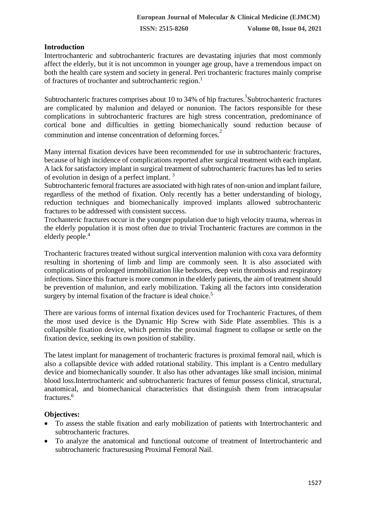## **Introduction**

Intertrochanteric and subtrochanteric fractures are devastating injuries that most commonly affect the elderly, but it is not uncommon in younger age group, have a tremendous impact on both the health care system and society in general. Peri trochanteric fractures mainly comprise of fractures of trochanter and subtrochanteric region.<sup>1</sup>

Subtrochanteric fractures comprises about 10 to 34% of hip fractures. Subtrochanteric fractures are complicated by malunion and delayed or nonunion. The factors responsible for these complications in subtrochanteric fractures are high stress concentration, predominance of cortical bone and difficulties in getting biomechanically sound reduction because of comminution and intense concentration of deforming forces.<sup>2</sup>

Many internal fixation devices have been recommended for use in subtrochanteric fractures, because of high incidence of complications reported after surgical treatment with each implant. A lack for satisfactory implant in surgical treatment of subtrochanteric fractures has led to series of evolution in design of a perfect implant. <sup>3</sup>

Subtrochanteric femoral fractures are associated with high rates of non-union and implant failure, regardless of the method of fixation. Only recently has a better understanding of biology, reduction techniques and biomechanically improved implants allowed subtrochanteric fractures to be addressed with consistent success.

Trochanteric fractures occur in the younger population due to high velocity trauma, whereas in the elderly population it is most often due to trivial Trochanteric fractures are common in the elderly people.<sup>4</sup>

Trochanteric fractures treated without surgical intervention malunion with coxa vara deformity resulting in shortening of limb and limp are commonly seen. It is also associated with complications of prolonged immobilization like bedsores, deep vein thrombosis and respiratory infections. Since this fracture is more common in the elderly patients, the aim of treatment should be prevention of malunion, and early mobilization. Taking all the factors into consideration surgery by internal fixation of the fracture is ideal choice.<sup>5</sup>

There are various forms of internal fixation devices used for Trochanteric Fractures, of them the most used device is the Dynamic Hip Screw with Side Plate assemblies. This is a collapsible fixation device, which permits the proximal fragment to collapse or settle on the fixation device, seeking its own position of stability.

The latest implant for management of trochanteric fractures is proximal femoral nail, which is also a collapsible device with added rotational stability. This implant is a Centro medullary device and biomechanically sounder. It also has other advantages like small incision, minimal blood loss.Intertrochanteric and subtrochanteric fractures of femur possess clinical, structural, anatomical, and biomechanical characteristics that distinguish them from intracapsular fractures.<sup>6</sup>

### **Objectives:**

- To assess the stable fixation and early mobilization of patients with Intertrochanteric and subtrochanteric fractures.
- To analyze the anatomical and functional outcome of treatment of Intertrochanteric and subtrochanteric fracturesusing Proximal Femoral Nail.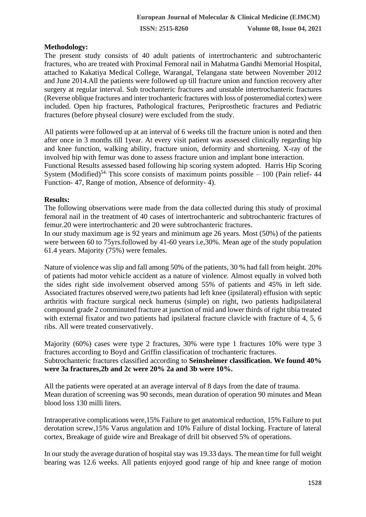### **Methodology:**

The present study consists of 40 adult patients of intertrochanteric and subtrochanteric fractures, who are treated with Proximal Femoral nail in Mahatma Gandhi Memorial Hospital, attached to Kakatiya Medical College, Warangal, Telangana state between November 2012 and June 2014.All the patients were followed up till fracture union and function recovery after surgery at regular interval. Sub trochanteric fractures and unstable intertrochanteric fractures (Reverse oblique fractures and inter trochanteric fractures with loss of posteromedial cortex) were included. Open hip fractures, Pathological fractures, Periprosthetic fractures and Pediatric fractures (before physeal closure) were excluded from the study.

All patients were followed up at an interval of 6 weeks till the fracture union is noted and then after once in 3 months till 1year. At every visit patient was assessed clinically regarding hip and knee function, walking ability, fracture union, deformity and shortening. X-ray of the involved hip with femur was done to assess fracture union and implant bone interaction.

Functional Results assessed based following hip scoring system adopted. Harris Hip Scoring System (Modified)<sup>54.</sup> This score consists of maximum points possible  $-100$  (Pain relief- 44 Function- 47, Range of motion, Absence of deformity- 4).

### **Results:**

The following observations were made from the data collected during this study of proximal femoral nail in the treatment of 40 cases of intertrochanteric and subtrochanteric fractures of femur.20 were intertrochanteric and 20 were subtrochanteric fractures.

In our study maximum age is 92 years and minimum age 26 years. Most (50%) of the patients were between 60 to 75yrs.followed by 41-60 years i.e,30%. Mean age of the study population 61.4 years. Majority (75%) were females.

Nature of violence was slip and fall among 50% of the patients, 30 % had fall from height. 20% of patients had motor vehicle accident as a nature of violence. Almost equally in volved both the sides right side involvement observed among 55% of patients and 45% in left side. Associated fractures observed were,two patients had left knee (ipsilateral) effusion with septic arthritis with fracture surgical neck humerus (simple) on right, two patients hadipsilateral compound grade 2 comminuted fracture at junction of mid and lower thirds of right tibia treated with external fixator and two patients had ipsilateral fracture clavicle with fracture of 4, 5, 6 ribs. All were treated conservatively.

Majority (60%) cases were type 2 fractures, 30% were type 1 fractures 10% were type 3 fractures according to Boyd and Griffin classification of trochanteric fractures. Subtrochanteric fractures classified according to **Seinsheimer classification. We found 40%** 

**were 3a fractures,2b and 2c were 20% 2a and 3b were 10%.**

All the patients were operated at an average interval of 8 days from the date of trauma. Mean duration of screening was 90 seconds, mean duration of operation 90 minutes and Mean blood loss 130 milli liters.

Intraoperative complications were,15% Failure to get anatomical reduction, 15% Failure to put derotation screw,15% Varus angulation and 10% Failure of distal locking. Fracture of lateral cortex, Breakage of guide wire and Breakage of drill bit observed 5% of operations.

In our study the average duration of hospital stay was 19.33 days. The mean time for full weight bearing was 12.6 weeks. All patients enjoyed good range of hip and knee range of motion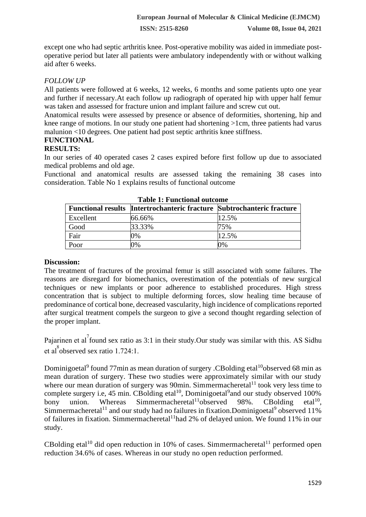except one who had septic arthritis knee. Post-operative mobility was aided in immediate postoperative period but later all patients were ambulatory independently with or without walking aid after 6 weeks.

## *FOLLOW UP*

All patients were followed at 6 weeks, 12 weeks, 6 months and some patients upto one year and further if necessary.At each follow up radiograph of operated hip with upper half femur was taken and assessed for fracture union and implant failure and screw cut out.

Anatomical results were assessed by presence or absence of deformities, shortening, hip and knee range of motions. In our study one patient had shortening >1cm, three patients had varus malunion <10 degrees. One patient had post septic arthritis knee stiffness.

# **FUNCTIONAL**

## **RESULTS:**

In our series of 40 operated cases 2 cases expired before first follow up due to associated medical problems and old age.

Functional and anatomical results are assessed taking the remaining 38 cases into consideration. Table No 1 explains results of functional outcome

| Table 1. Functional outcome |                                                                               |       |
|-----------------------------|-------------------------------------------------------------------------------|-------|
|                             | <b>Functional results Intertrochanteric fracture Subtrochanteric fracture</b> |       |
| Excellent                   | 66.66%                                                                        | 12.5% |
| Good                        | 33.33%                                                                        | 75%   |
| Fair                        | 0%                                                                            | 12.5% |
| Poor                        | 0%                                                                            | 0%    |

**Table 1: Functional outcome**

### **Discussion:**

The treatment of fractures of the proximal femur is still associated with some failures. The reasons are disregard for biomechanics, overestimation of the potentials of new surgical techniques or new implants or poor adherence to established procedures. High stress concentration that is subject to multiple deforming forces, slow healing time because of predominance of cortical bone, decreased vascularity, high incidence of complications reported after surgical treatment compels the surgeon to give a second thought regarding selection of the proper implant.

Pajarinen et al<sup>7</sup> found sex ratio as 3:1 in their study. Our study was similar with this. AS Sidhu et al<sup>8</sup>observed sex ratio 1.724:1.

Dominigoetal<sup>9</sup> found 77min as mean duration of surgery .CBolding etal<sup>10</sup>observed 68 min as mean duration of surgery. These two studies were approximately similar with our study where our mean duration of surgery was 90min. Simmermacheretal<sup>11</sup> took very less time to complete surgery i.e, 45 min. CBolding etal<sup>10</sup>, Dominigoetal<sup>9</sup> and our study observed 100% bony union. Whereas Simmermacheretal<sup>11</sup>observed 98%. CBolding etal $1^{10}$ . Simmermacheretal<sup>11</sup> and our study had no failures in fixation. Dominigoetal<sup>9</sup> observed 11% of failures in fixation. Simmermacheretal<sup>11</sup>had 2% of delayed union. We found 11% in our study.

CBolding etal<sup>10</sup> did open reduction in 10% of cases. Simmermacheretal<sup>11</sup> performed open reduction 34.6% of cases. Whereas in our study no open reduction performed.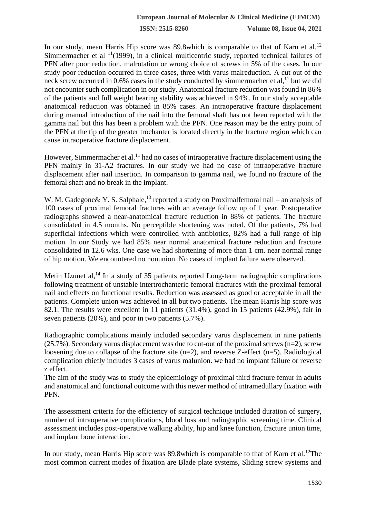**ISSN: 2515-8260 Volume 08, Issue 04, 2021**

In our study, mean Harris Hip score was 89.8which is comparable to that of Karn et al.<sup>12</sup> Simmermacher et al  $\frac{11}{1999}$ , in a clinical multicentric study, reported technical failures of PFN after poor reduction, malrotation or wrong choice of screws in 5% of the cases. In our study poor reduction occurred in three cases, three with varus malreduction. A cut out of the neck screw occurred in  $0.6\%$  cases in the study conducted by simmermacher et al,  $^{11}$  but we did not encounter such complication in our study. Anatomical fracture reduction was found in 86% of the patients and full weight bearing stability was achieved in 94%. In our study acceptable anatomical reduction was obtained in 85% cases. An intraoperative fracture displacement during manual introduction of the nail into the femoral shaft has not been reported with the gamma nail but this has been a problem with the PFN. One reason may be the entry point of the PFN at the tip of the greater trochanter is located directly in the fracture region which can cause intraoperative fracture displacement.

However, Simmermacher et al.<sup>11</sup> had no cases of intraoperative fracture displacement using the PFN mainly in 31-A2 fractures. In our study we had no case of intraoperative fracture displacement after nail insertion. In comparison to gamma nail, we found no fracture of the femoral shaft and no break in the implant.

W. M. Gadegone  $X$  Y. S. Salphale,<sup>13</sup> reported a study on Proximal femoral nail – an analysis of 100 cases of proximal femoral fractures with an average follow up of 1 year. Postoperative radiographs showed a near-anatomical fracture reduction in 88% of patients. The fracture consolidated in 4.5 months. No perceptible shortening was noted. Of the patients, 7% had superficial infections which were controlled with antibiotics, 82% had a full range of hip motion. In our Study we had 85% near normal anatomical fracture reduction and fracture consolidated in 12.6 wks. One case we had shortening of more than 1 cm. near normal range of hip motion. We encountered no nonunion. No cases of implant failure were observed.

Metin Uzunet al, $^{14}$  In a study of 35 patients reported Long-term radiographic complications following treatment of unstable intertrochanteric femoral fractures with the proximal femoral nail and effects on functional results. Reduction was assessed as good or acceptable in all the patients. Complete union was achieved in all but two patients. The mean Harris hip score was 82.1. The results were excellent in 11 patients (31.4%), good in 15 patients (42.9%), fair in seven patients (20%), and poor in two patients (5.7%).

Radiographic complications mainly included secondary varus displacement in nine patients  $(25.7\%)$ . Secondary varus displacement was due to cut-out of the proximal screws (n=2), screw loosening due to collapse of the fracture site (n=2), and reverse Z-effect (n=5). Radiological complication chiefly includes 3 cases of varus malunion. we had no implant failure or reverse z effect.

The aim of the study was to study the epidemiology of proximal third fracture femur in adults and anatomical and functional outcome with this newer method of intramedullary fixation with PFN.

The assessment criteria for the efficiency of surgical technique included duration of surgery, number of intraoperative complications, blood loss and radiographic screening time. Clinical assessment includes post-operative walking ability, hip and knee function, fracture union time, and implant bone interaction.

In our study, mean Harris Hip score was 89.8which is comparable to that of Karn et al.<sup>12</sup>The most common current modes of fixation are Blade plate systems, Sliding screw systems and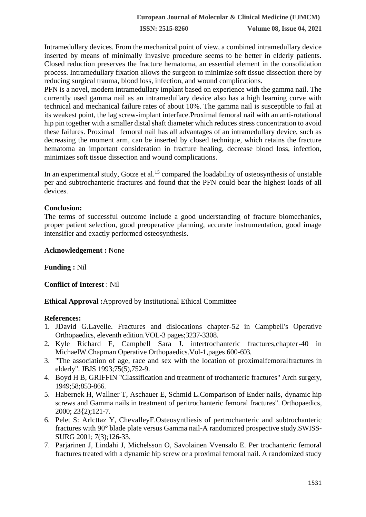**ISSN: 2515-8260 Volume 08, Issue 04, 2021**

Intramedullary devices. From the mechanical point of view, a combined intramedullary device inserted by means of minimally invasive procedure seems to be better in elderly patients. Closed reduction preserves the fracture hematoma, an essential element in the consolidation process. Intramedullary fixation allows the surgeon to minimize soft tissue dissection there by reducing surgical trauma, blood loss, infection, and wound complications.

PFN is a novel, modern intramedullary implant based on experience with the gamma nail. The currently used gamma nail as an intramedullary device also has a high learning curve with technical and mechanical failure rates of about 10%. The gamma nail is susceptible to fail at its weakest point, the lag screw-implant interface.Proximal femoral nail with an anti-rotational hip pin together with a smaller distal shaft diameter which reduces stress concentration to avoid these failures. Proximal femoral nail has all advantages of an intramedullary device, such as decreasing the moment arm, can be inserted by closed technique, which retains the fracture hematoma an important consideration in fracture healing, decrease blood loss, infection, minimizes soft tissue dissection and wound complications.

In an experimental study, Gotze et al.<sup>15</sup> compared the loadability of osteosynthesis of unstable per and subtrochanteric fractures and found that the PFN could bear the highest loads of all devices.

### **Conclusion:**

The terms of successful outcome include a good understanding of fracture biomechanics, proper patient selection, good preoperative planning, accurate instrumentation, good image intensifier and exactly performed osteosynthesis.

#### **Acknowledgement :** None

**Funding :** Nil

**Conflict of Interest** : Nil

**Ethical Approval :**Approved by Institutional Ethical Committee

#### **References:**

- 1. JDavid G.Lavelle. Fractures and dislocations chapter-52 in Campbell's Operative Orthopaedics, eleventh edition.VOL-3 pages;3237-3308.
- 2. Kyle Richard F, Campbell Sara J. intertrochanteric fractures,chapter-40 in MichaelW.Chapman Operative Orthopaedics.Vol-1,pages 600-603.
- 3. "The association of age, race and sex with the location of proximalfemoralfractures in elderly". JBJS 1993;75(5),752-9.
- 4. Boyd H B, GRIFFIN "Classification and treatment of trochanteric fractures" Arch surgery, 1949;58;853-866.
- 5. Habernek H, Wallner T, Aschauer E, Schmid L.Comparison of Ender nails, dynamic hip screws and Gamma nails in treatment of peritrochanteric femoral fractures". Orthopaedics, 2000; 23{2);121-7.
- 6. Pelet S: Arlcttaz Y, ChevalleyF.Osteosyntliesis of pertrochanteric and subtrochanteric fractures with 90° blade plate versus Gamma nail-A randomized prospective study.SWISS-SURG 2001; 7(3);126-33.
- 7. Parjarinen J, Lindahi J, Michelsson O, Savolainen Vvensalo E. Per trochanteric femoral fractures treated with a dynamic hip screw or a proximal femoral nail. A randomized study